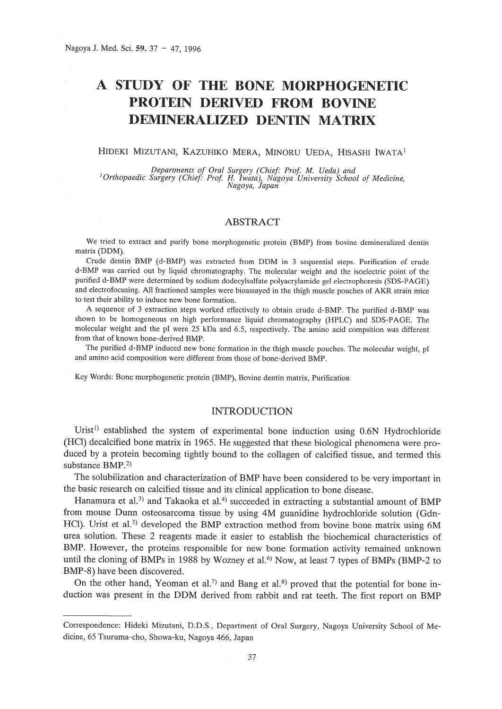# A **STUDY OF THE BONE MORPHOGENETIC PROTEIN DERIVED FROM BOVINE DEMINERALIZED DENTIN MATRIX**

# HIDEKI MIZUTANI, KAZUHIKO MERA, MINORU UEDA, HISASHI IWATA<sup>l</sup>

Departments of Oral Surgery (Chief: Prof. M. Ueda) and<br><sup>1</sup>Orthopaedic Surgery (Chief: Prof. H. Iwata), Nagoya University School of Medicine<br>Nagoya, Japan

# **ABSTRACT**

We tried to extract and purify bone morphogenetic protein (BMP) from bovine demineralized dentin matrix (DDM).

Crude dentin BMP (d-BMP) was extracted from DOM in 3 sequential steps. Purification of crude d-BMP was carried out by liquid chromatography. The molecular weight and the isoelectric point of the purified d-BMP were determined by sodium dodecylsulfate polyacrylamide gel electrophoresis (SDS-PAGE) and electrofocusing. All fractioned samples were bioassayed in the thigh muscle pouches of AKR strain mice to test their ability to induce new bone formation.

A sequence of 3 extraction steps worked effectively to obtain crude d-BMP. The purified d-BMP was shown to be homogeneous on high performance liquid chromatography (HPLC) and SOS-PAGE. The molecular weight and the pi were 25 kOa and 6.5, respectively. The amino acid compsition was different from that of known bone-derived BMP.

The purified d-BMP induced new bone formation in the thigh muscle pouches. The molecular weight, pi and amino acid composition were different from those of bone-derived BMP.

Key Words: Bone morphogenetic protein (BMP), Bovine dentin matrix, Purification

### **INTRODUCTION**

Urist<sup>1)</sup> established the system of experimental bone induction using  $0.6N$  Hydrochloride (Hel) decalcified bone matrix in 1965. He suggested that these biological phenomena were produced by a protein becoming tightly bound to the collagen of calcified tissue, and termed this substance BMP.<sup>2)</sup>

The solubilization and characterization of BMP have been considered to be very important in the basic research on calcified tissue and its clinical application to bone disease.

Hanamura et al.<sup>3)</sup> and Takaoka et al.<sup>4)</sup> succeeded in extracting a substantial amount of BMP from mouse Dunn osteosarcoma tissue by using 4M guanidine hydrochloride solution (Gdn-HCl). Urist et al.<sup>5)</sup> developed the BMP extraction method from bovine bone matrix using 6M urea solution. These 2 reagents made it easier to establish the biochemical characteristics of BMP. However, the proteins responsible for new bone formation activity remained unknown until the cloning of BMPs in 1988 by Wozney et al.<sup>6)</sup> Now, at least 7 types of BMPs (BMP-2 to BMP-8) have been discovered.

On the other hand, Yeoman et al.<sup>7)</sup> and Bang et al.<sup>8)</sup> proved that the potential for bone induction was present in the DDM derived from rabbit and rat teeth. The first report on BMP

Correspondence: Hideki Mizutani, D.D.S., Department of Oral Surgery, Nagoya University School of Medicine, 65 Tsuruma-cho, Showa-ku, Nagoya 466, Japan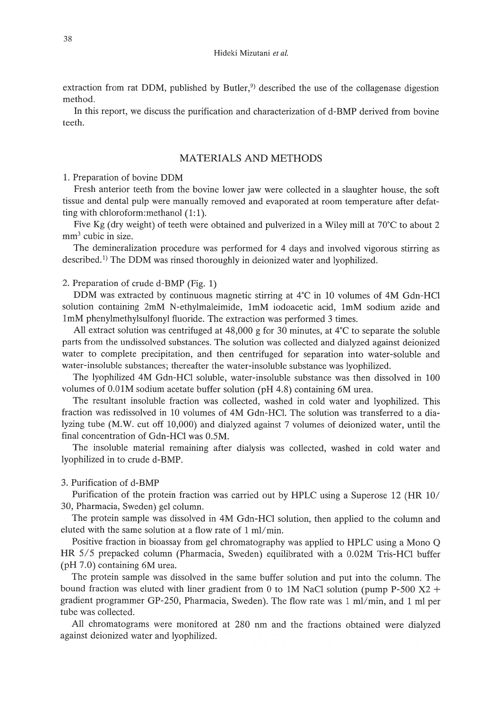extraction from rat DDM, published by Butler,<sup>9)</sup> described the use of the collagenase digestion method.

In this report, we discuss the purification and characterization of d-BMP derived from bovine teeth.

# MATERIALS AND METHODS

#### 1. Preparation of bovine DDM

Fresh anterior teeth from the bovine lower jaw were collected in a slaughter house, the soft tissue and dental pulp were manually removed and evaporated at room temperature after defatting with chloroform: methanol  $(1:1)$ .

Five Kg (dry weight) of teeth were obtained and pulverized in a Wiley mill at 70'C to about 2  $mm<sup>3</sup>$  cubic in size.

The demineralization procedure was performed for 4 days and involved vigorous stirring as described.<sup>1)</sup> The DDM was rinsed thoroughly in deionized water and lyophilized.

2. Preparation of crude d-BMP (Fig. 1)

DDM was extracted by continuous magnetic stirring at 4'C in 10 volumes of 4M Gdn-HCl solution containing 2mM N-ethylmaleimide, 1mM iodoacetic acid, 1mM sodium azide and 1mM phenylmethylsulfonyl fluoride. The extraction was performed 3 times.

All extract solution was centrifuged at  $48,000$  g for 30 minutes, at  $4^{\circ}$ C to separate the soluble parts from the undissolved substances. The solution was collected and dialyzed against deionized water to complete precipitation, and then centrifuged for separation into water-soluble and water-insoluble substances; thereafter the water-insoluble substance was lyophilized.

The lyophilized 4M Gdn-HCl soluble, water-insoluble substance was then dissolved in 100 volumes of O.OlM sodium acetate buffer solution (pH 4.8) containing 6M urea.

The resultant insoluble fraction was collected, washed in cold water and lyophilized. This fraction was redissolved in 10 volumes of 4M Gdn-HCI. The solution was transferred to a dialyzing tube (M.W. cut off 10,000) and dialyzed against 7 volumes of deionized water, until the final concentration of Gdn-HCl was 0.5M.

The insoluble material remaining after dialysis was collected, washed in cold water and lyophilized in to crude d-BMP.

# 3. Purification of d-BMP

Purification of the protein fraction was carried out by HPLC using a Superose 12 (HR 10/ 30, Pharmacia, Sweden) gel column.

The protein sample was dissolved in 4M Gdn-HCl solution, then applied to the column and eluted with the same solution at a flow rate of 1 ml/min.

Positive fraction in bioassay from gel chromatography was applied to HPLC using a Mono Q HR 5/5 prepacked column (Pharmacia, Sweden) equilibrated with a 0.02M Tris-HCl buffer (pH 7.0) containing 6M urea.

The protein sample was dissolved in the same buffer solution and put into the column. The bound fraction was eluted with liner gradient from 0 to 1M NaCl solution (pump P-500  $X2$  + gradient programmer GP-250, Pharmacia, Sweden). The flow rate was 1 *mil*min, and 1 ml per tube was collected.

All chromatograms were monitored at 280 nm and the fractions obtained were dialyzed against deionized water and lyophilized.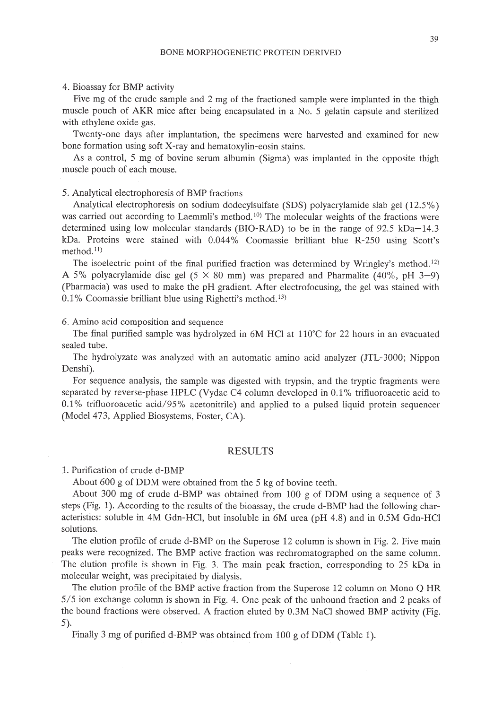#### 4. Bioassay for BMP activity

Five mg of the crude sample and 2 mg of the fractioned sample were implanted in the thigh muscle pouch of AKR mice after being encapsulated in a No.5 gelatin capsule and sterilized with ethylene oxide gas.

Twenty-one days after implantation, the specimens were harvested and examined for new bone formation using soft X-ray and hematoxylin-eosin stains.

As a control, 5 mg of bovine serum albumin (Sigma) was implanted in the opposite thigh muscle pouch of each mouse.

#### 5. Analytical electrophoresis of BMP fractions

Analytical electrophoresis on sodium dodecylsulfate (SDS) polyacrylamide slab gel (12.5%) was carried out according to Laemmli's method.<sup>10</sup> The molecular weights of the fractions were determined using low molecular standards (BIO-RAD) to be in the range of 92.5 kDa-14.3 kDa. Proteins were stained with 0.044% Coomassie brilliant blue R-250 using Scott's method.<sup>11)</sup>

The isoelectric point of the final purified fraction was determined by Wringley's method.<sup>12)</sup> A 5% polyacrylamide disc gel (5  $\times$  80 mm) was prepared and Pharmalite (40%, pH 3-9) (Pharmacia) was used to make the pH gradient. After electrofocusing, the gel was stained with 0.1% Coomassie brilliant blue using Righetti's method. 13)

6. Amino acid composition and sequence

The final purified sample was hydrolyzed in 6M HCI at 110°C for 22 hours in an evacuated sealed tube.

The hydrolyzate was analyzed with an automatic amino acid analyzer (JTL-3000; Nippon Denshi).

For sequence analysis, the sample was digested with trypsin, and the tryptic fragments were separated by reverse-phase HPLC (Vydac C4 column developed in 0.1 % trifluoroacetic acid to 0.1% trifluoroacetic acid/95% acetonitrile) and applied to a pulsed liquid protein sequencer (Model 473, Applied Biosystems, Foster, CA).

# RESULTS

1. Purification of crude d-BMP

About 600 g of DDM were obtained from the 5 kg of bovine teeth.

About 300 mg of crude d-BMP was obtained from 100 g of DDM using a sequence of 3 steps (Fig. 1). According to the results of the bioassay, the crude d-BMP had the following characteristics: soluble in 4M Gdn-HCI, but insoluble in 6M urea (pH 4.8) and in 0.5M Gdn-HCI solutions.

The elution profile of crude d-BMP on the Superose 12 column is shown in Fig. 2. Five main peaks were recognized. The BMP active fraction was rechromatographed on the same column. The elution profile is shown in Fig. 3. The main peak fraction, corresponding to 25 kDa in molecular weight, was precipitated by dialysis.

The elution profile of the BMP active fraction from the Superose 12 column on Mono Q HR 5/5 ion exchange column is shown in Fig. 4. One peak of the unbound fraction and 2 peaks of the bound fractions were observed. A fraction eluted by 0.3M NaCI showed BMP activity (Fig. 5).

Finally 3 mg of purified d-BMP was obtained from 100 g of DDM (Table 1).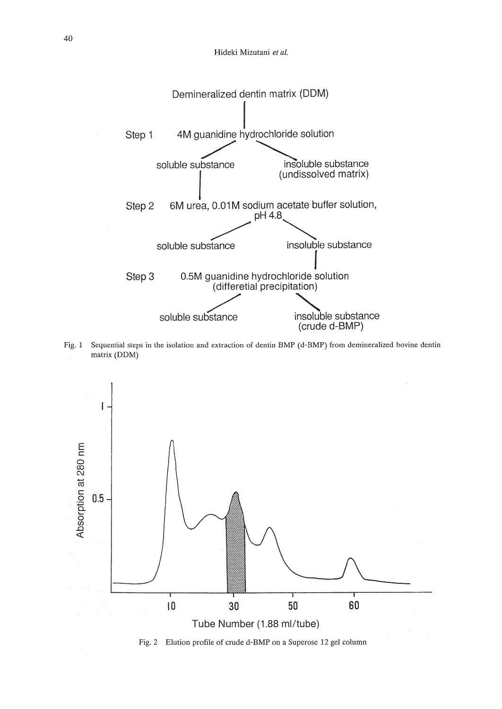

Fig. 1 Sequential steps in the isolation and extraction of dentin BMP (d-BMP) from demineralized bovine dentin matrix (DDM)



Fig. 2 Elution profile of crude d-BMP on a Superose 12 gel column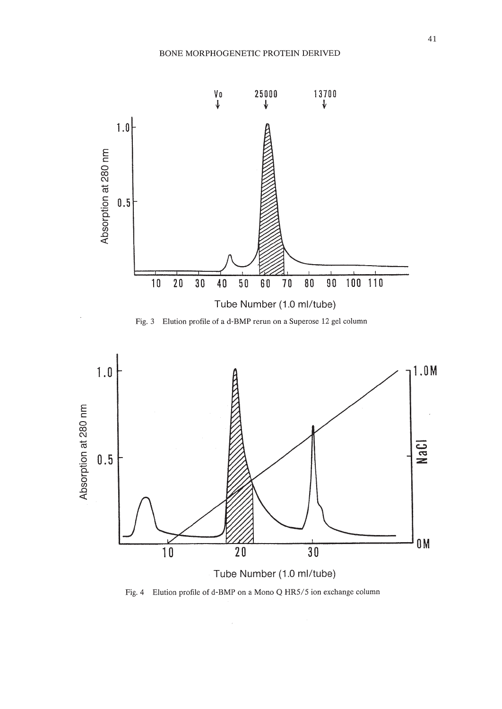





Tube Number (1.0 ml/tube)

Fig.4 Elution profile of d-BMP on a Mono Q HR5/5 ion exchange column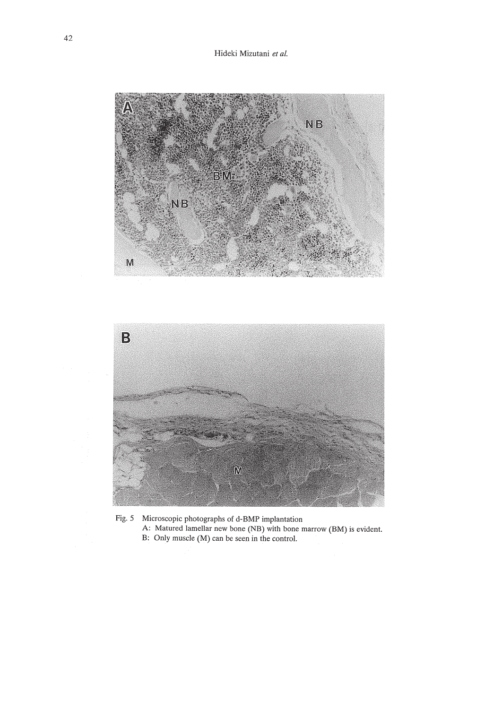Hideki Mizutani *et at.*



Fig.5 Microscopic photographs of d-BMP implantation A: Matured lamellar new bone (NB) with bone marrow (BM) is evident. B: Only muscle (M) can be seen in the control.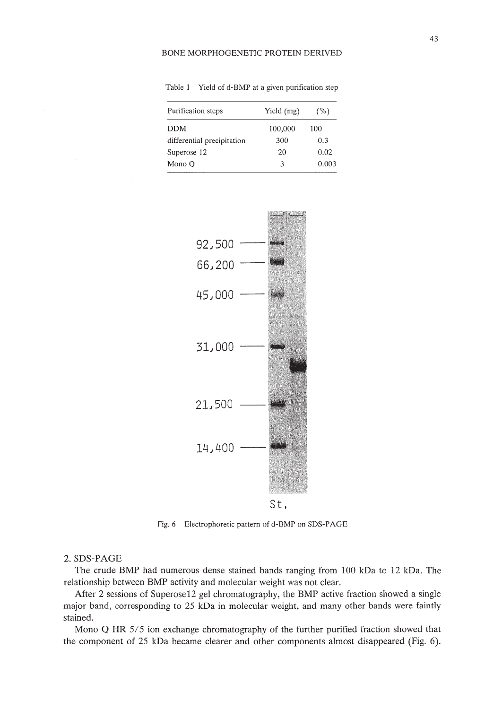Table 1 Yield of d-BMP at a given purification step

| Purification steps         | Yield (mg) | $($ %) |
|----------------------------|------------|--------|
| DDM                        | 100,000    | 100    |
| differential precipitation | 300        | 0.3    |
| Superose 12                | 20         | 0.02   |
| Mono Q                     | ٩          | 0.003  |



Fig.6 Electrophoretic pattern of d-BMP on SOS-PAGE

# 2. SDS-PAGE

The crude BMP had numerous dense stained bands ranging from 100 kDa to 12 kDa. The relationship between BMP activity and molecular weight was not clear.

After 2 sessions of Superose12 gel chromatography, the BMP active fraction showed a single major band, corresponding to 25 kDa in molecular weight, and many other bands were faintly stained.

Mono Q **HR** 5/5 ion exchange chromatography of the further purified fraction showed that the component of 25 kDa became clearer and other components almost disappeared (Fig. 6).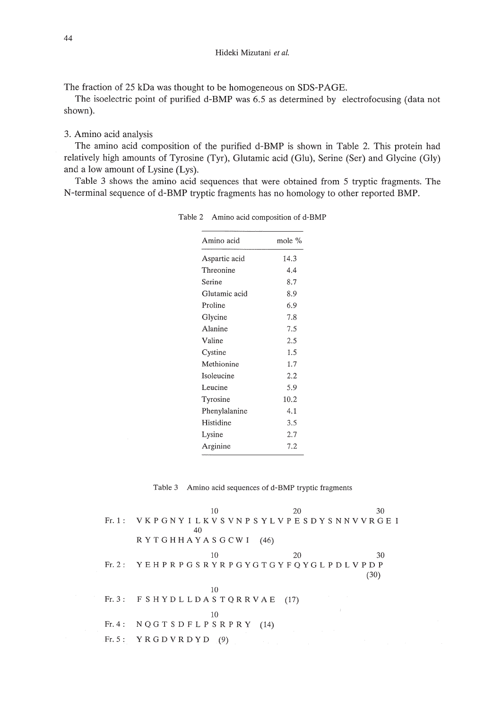The fraction of 25 kDa was thought to be homogeneous on SDS-PAGE.

The isoelectric point of purified d-BMP was 6.5 as determined by electrofocusing (data not shown).

# 3. Amino acid analysis

The amino acid composition of the purified d-BMP is shown in Table 2. This protein had relatively high amounts of Tyrosine (Tyr), Glutamic acid (Glu), Serine (Ser) and Glycine (Gly) and a low amount of Lysine (Lys).

Table 3 shows the amino acid sequences that were obtained from 5 tryptic fragments. The N-terminal sequence of d-BMP tryptic fragments has no homology to other reported BMP.

| Amino acid    | mole % |  |
|---------------|--------|--|
| Aspartic acid | 14.3   |  |
| Threonine     | 4.4    |  |
| Serine        | 8.7    |  |
| Glutamic acid | 8.9    |  |
| Proline       | 6.9    |  |
| Glycine       | 7.8    |  |
| Alanine       | 7.5    |  |
| Valine        | 2.5    |  |
| Cystine       | 1.5    |  |
| Methionine    | 1.7    |  |
| Isoleucine    | 2.2    |  |
| Leucine       | 5.9    |  |
| Tyrosine      | 10.2   |  |
| Phenylalanine | 4.1    |  |
| Histidine     | 3.5    |  |
| Lysine        | 2.7    |  |
| Arginine      | 7.2    |  |

Table 2 Amino acid composition of d-BMP

Table 3 Amino acid sequences of d-BMP tryptic fragments

|                                | 10                                              | 20 | 30   |
|--------------------------------|-------------------------------------------------|----|------|
|                                | Fr.1: VKPGNYILKVSVNPSYLVPESDYSNNVVRGEI          |    |      |
| 40                             |                                                 |    |      |
| R Y T G H H A Y A S G C W I    | (46)                                            |    |      |
|                                | 10                                              | 20 | 30   |
|                                | Fr.2: YEHPRPGSRYRPGYGTGYFQYGLPDLVPDP            |    |      |
|                                |                                                 |    | (30) |
|                                | 10                                              |    |      |
|                                | Fr. 3: $F S H Y D L L D A S T Q R R V A E$ (17) |    |      |
|                                | 10                                              |    |      |
| Fr. 4: $NQGTSDFLPSRPRY$ (14)   |                                                 |    |      |
| Fr. 5: $Y R G D V R D Y D (9)$ | and the state of the state                      |    |      |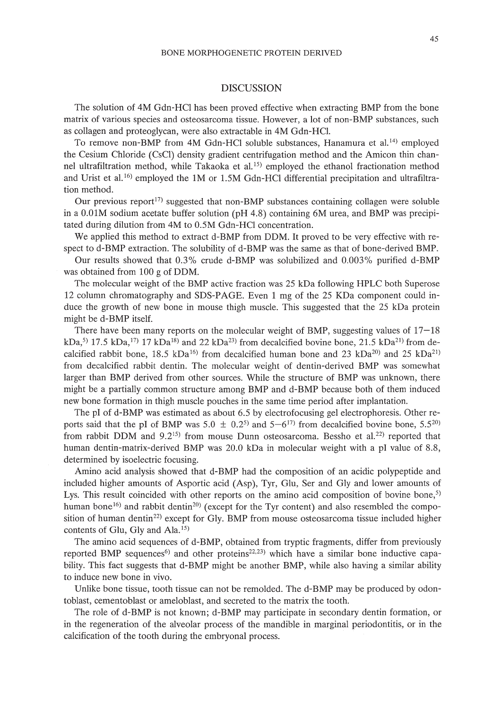#### DISCUSSION

The solution of 4M Gdn-HCI has been proved effective when extracting BMP from the bone matrix of various species and osteosarcoma tissue. However, a lot of non-BMP substances, such as collagen and proteoglycan, were also extractable in 4M Gdn-HCl.

To remove non-BMP from 4M Gdn-HCl soluble substances, Hanamura et al.<sup>14)</sup> employed the Cesium Chloride (CsCI) density gradient centrifugation method and the Amicon thin channel ultrafiltration method, while Takaoka et al. 15) employed the ethanol fractionation method and Urist et al.<sup>16)</sup> employed the 1M or 1.5M Gdn-HCl differential precipitation and ultrafiltration method.

Our previous report<sup>17)</sup> suggested that non-BMP substances containing collagen were soluble in a O.OIM sodium acetate buffer solution (pH 4.8) containing 6M urea, and BMP was precipitated during dilution from 4M to 0.5M Gdn-HCI concentration.

We applied this method to extract d-BMP from DDM. It proved to be very effective with respect to d-BMP extraction. The solubility of d-BMP was the same as that of bone-derived BMP.

Our results showed that 0.3% crude d-BMP was solubilized and 0.003% purified d-BMP was obtained from 100 g of DDM.

The molecular weight of the BMP active fraction was 25 kDa following HPLC both Superose 12 column chromatography and SDS-PAGE. Even 1 mg of the 25 KDa component could induce the growth of new bone in mouse thigh muscle. This suggested that the 25 kDa protein might be d-BMP itself.

There have been many reports on the molecular weight of BMP, suggesting values of  $17-18$ kDa,<sup>5)</sup> 17.5 kDa,<sup>17</sup>) 17 kDa<sup>18</sup>) and 22 kDa<sup>23</sup> from decalcified bovine bone, 21.5 kDa<sup>21</sup> from decalcified rabbit bone, 18.5 kDa<sup>16)</sup> from decalcified human bone and 23 kDa<sup>20</sup> and 25 kDa<sup>21)</sup> from decalcified rabbit dentin. The molecular weight of dentin-derived BMP was somewhat larger than BMP derived from other sources. While the structure of BMP was unknown, there might be a partially common structure among BMP and d-BMP because both of them induced new bone formation in thigh muscle pouches in the same time period after implantation.

The pI of d-BMP was estimated as about 6.5 by electrofocusing gel electrophoresis. Other reports said that the pI of BMP was 5.0  $\pm$  0.2<sup>5)</sup> and 5–6<sup>17)</sup> from decalcified bovine bone, 5.5<sup>20</sup> from rabbit DDM and  $9.2^{15}$  from mouse Dunn osteosarcoma. Bessho et al.<sup>22)</sup> reported that human dentin-matrix-derived BMP was 20.0 kDa in molecular weight with a pI value of 8.8, determined by isoelectric focusing.

Amino acid analysis showed that d-BMP had the composition of an acidic polypeptide and included higher amounts of Asportic acid (Asp), Tyr, Glu, Ser and Gly and lower amounts of Lys. This result coincided with other reports on the amino acid composition of bovine bone, $5$ ) human bone<sup>16)</sup> and rabbit dentin<sup>20</sup>) (except for the Tyr content) and also resembled the composition of human dentin<sup>22)</sup> except for Gly. BMP from mouse osteosarcoma tissue included higher contents of Glu, Gly and Ala.<sup>15)</sup>

The amino acid sequences of d-BMP, obtained from tryptic fragments, differ from previously reported BMP sequences<sup>6</sup>) and other proteins<sup>22,23</sup>) which have a similar bone inductive capability. This fact suggests that d-BMP might be another BMP, while also having a similar ability to induce new bone in vivo.

Unlike bone tissue, tooth tissue can not be remolded. The d-BMP may be produced by odontoblast, cementoblast or ameloblast, and secreted to the matrix the tooth.

The role of d-BMP is not known; d-BMP may participate in secondary dentin formation, or in the regeneration of the alveolar process of the mandible in marginal periodontitis, or in the calcification of the tooth during the embryonal process.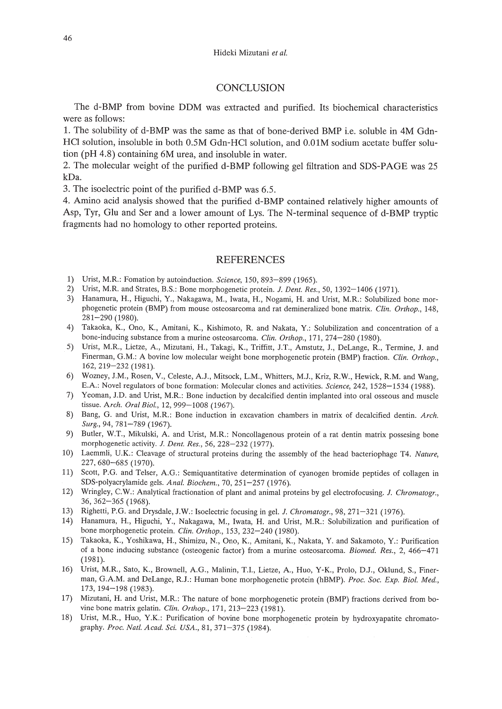#### Hideki Mizutani *et al.*

# **CONCLUSION**

The d-BMP from bovine DDM was extracted and purified. Its biochemical characteristics were as follows:

1. The solubility of d-BMP was the same as that of bone-derived BMP i.e. soluble in 4M Gdn-HCl solution, insoluble in both 0.5M Gdn-HCl solution, and 0.01M sodium acetate buffer solution (pH 4.8) containing 6M urea, and insoluble in water.

2. The molecular weight of the purified d-BMP following gel filtration and SDS-PAGE was 25 kDa.

3. The isoelectric point of the purified d-BMP was 6.5.

4. Amino acid analysis showed that the purified d-BMP contained relatively higher amounts of Asp, Tyr, Glu and Ser and a lower amount of Lys. The N-terminal sequence of d-BMP tryptic fragments had no homology to other reported proteins.

# REFERENCES

- 1) Urist, M.R: Fomation by autoinduction. *Science,* 150,893-899 (1965).
- 2) Urist, M.R and Strates, B.S.: Bone morphogenetic protein. J. *Dent. Res.,* 50,1392-1406 (1971).
- 3) Hanamura, H., Higuchi, Y., Nakagawa, M., Iwata, H., Nogami, H. and Urist, M.R: Solubilized bone morphogenetic protein (BMP) from mouse osteosarcoma and rat demineralized bone matrix. *Clin. Orthop., 148,* 281-290 (1980).
- 4) Takaoka, K., Ono, K., Amitani, K., Kishimoto, R and Nakata. Y.: Solubilization and concentration of a bone-inducing substance from a murine osteosarcoma. *Clin. Orthop.,* 171, 274-280 (1980).
- 5) Urist, M.R., Lietze. A. Mizutani. H.• Takagi. K.• Triffitt. J.T.• Amstutz. J., DeLange. R., Termine. J. and Finerman, G.M.: A bovine low molecular weight bone morphogenetic protein (BMP) fraction. *Clin. Orthop.*, 162,219-232 (1981).
- 6) Wozney, J.M.• Rosen. Y., Celeste. AJ., Mitsock. L.M.• Whitters, M.J.• Kriz, RW., Hewick. R.M. and Wang. E.A: Novel regulators of bone formation: Molecular clones and activities. *Science,* 242. 1528-1534 (1988).
- 7) Yeoman, J.D. and Urist, M.R.: Bone induction by decalcified dentin implanted into oral osseous and muscle tissue. *Arch. Oral BioI.,* 12,999-1008 (1967).
- 8) Bang, G. and Urist. M.R: Bone induction in excavation chambers in matrix of decalcified dentin. *Arch.* Surg., 94, 781-789 (1967).
- 9) Butler, W.T.. Mikulski, A and Urist. M.R: Noncollagenous protein of a rat dentin matrix possesing bone morphogenetic activity. *J. Dent. Res.*, 56, 228-232 (1977).
- 10) Laemmli. U.K.: Cleavage of structural proteins during the assembly of the head bacteriophage T4. *Nature,* 227.680-685 (1970).
- 11) Scott, P.G. and Telser, A.G.: Semiquantitative determination of cyanogen bromide peptides of collagen in SDS-polyacrylamide gels. *Anal. Biochem.,* 70. 251-257 (1976).
- 12) Wringiey, C.W.: Analytical fractionation of plant and animal proteins by gel electrofocusing. J. *Chromatogr.•* 36,362-365 (1968).
- 13) Righetti, P.G. and Drysdale, J.W.: Isoelectric focusing in gel. J. *Chromatogr.,* 98, 271-321 (1976).
- 14) Hanamura, H., Higuchi, Y., Nakagawa, M., Iwata. H. and Urist. M.R: Solubilization and purification of bone morphogenetic protein. *Clin. Orthop.,* 153.232-240 (1980).
- 15) Takaoka, K., Yoshikawa, H., Shimizu, N., Ono, K.• Amitani, K., Nakata, Y. and Sakamoto, Y.: Purification of a bone inducing substance (osteogenic factor) from a murine osteosarcoma. *Biomed. Res.*, 2, 466-471 (1981).
- 16) Urist, M.R., Sato. K., Brownell. AG.• Malinin, T.!., Lietze. A. Huo. Y-K.• Prolo, DJ., Oklund, S.• Finerman. G.AM. and DeLange. RJ.: Human bone morphogenetic protein (hBMP). *Proc. Soc. Exp. BioI. Med.•* 173. 194-198 (1983).
- 17) Mizutani, H. and Urist, M.R.: The nature of bone morphogenetic protein (BMP) fractions derived from bovine bone matrix gelatin. *Clin. Orthop.*, 171, 213-223 (1981).
- 18) Urist, M.R, Huo, Y.K.: Purification of hovine bone morphogenetic protein by hydroxyapatite chromatography. *Proc. Natl. A cad. Sci. USA.,* 81, 371-375 (1984).